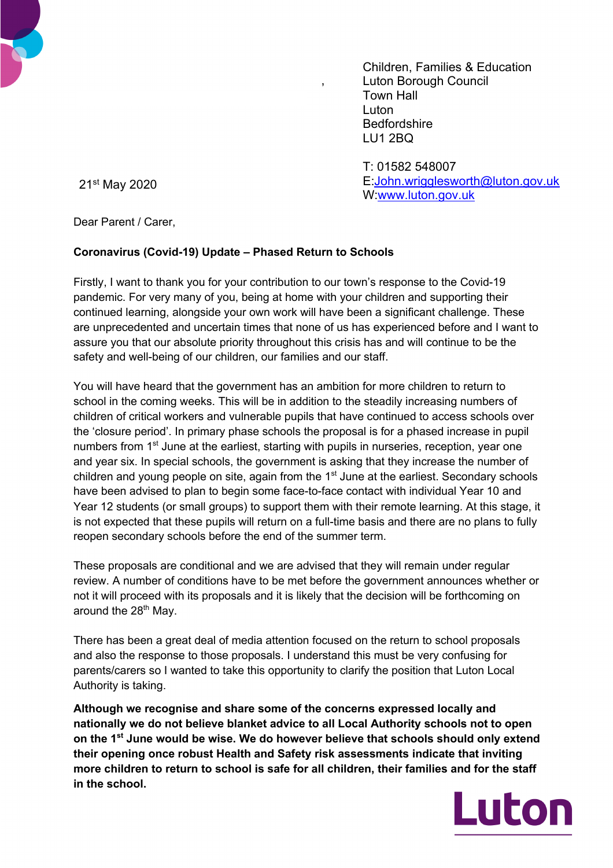Children, Families & Education Luton Borough Council Town Hall Luton **Bedfordshire** LU1 2BQ

T: 01582 548007 E:John.wrigglesworth@luton.gov.uk W:www.luton.gov.uk

21st May 2020

Dear Parent / Carer,

## **Coronavirus (Covid-19) Update – Phased Return to Schools**

Firstly, I want to thank you for your contribution to our town's response to the Covid-19 pandemic. For very many of you, being at home with your children and supporting their continued learning, alongside your own work will have been a significant challenge. These are unprecedented and uncertain times that none of us has experienced before and I want to assure you that our absolute priority throughout this crisis has and will continue to be the safety and well-being of our children, our families and our staff.

,

You will have heard that the government has an ambition for more children to return to school in the coming weeks. This will be in addition to the steadily increasing numbers of children of critical workers and vulnerable pupils that have continued to access schools over the 'closure period'. In primary phase schools the proposal is for a phased increase in pupil numbers from 1<sup>st</sup> June at the earliest, starting with pupils in nurseries, reception, year one and year six. In special schools, the government is asking that they increase the number of children and young people on site, again from the  $1<sup>st</sup>$  June at the earliest. Secondary schools have been advised to plan to begin some face-to-face contact with individual Year 10 and Year 12 students (or small groups) to support them with their remote learning. At this stage, it is not expected that these pupils will return on a full-time basis and there are no plans to fully reopen secondary schools before the end of the summer term.

These proposals are conditional and we are advised that they will remain under regular review. A number of conditions have to be met before the government announces whether or not it will proceed with its proposals and it is likely that the decision will be forthcoming on around the 28<sup>th</sup> Mav.

There has been a great deal of media attention focused on the return to school proposals and also the response to those proposals. I understand this must be very confusing for parents/carers so I wanted to take this opportunity to clarify the position that Luton Local Authority is taking.

**Although we recognise and share some of the concerns expressed locally and nationally we do not believe blanket advice to all Local Authority schools not to open on the 1st June would be wise. We do however believe that schools should only extend their opening once robust Health and Safety risk assessments indicate that inviting more children to return to school is safe for all children, their families and for the staff in the school.**